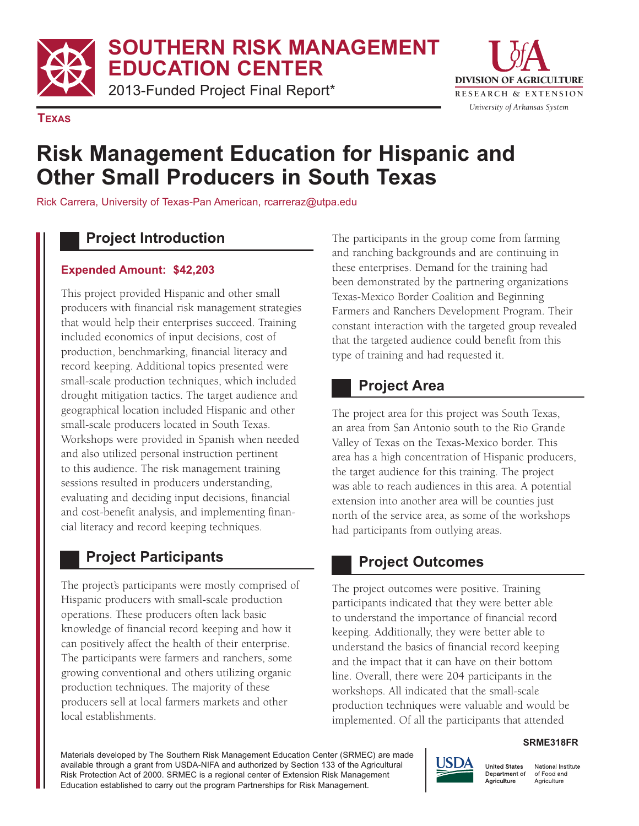**SOUTHERN RISK MANAGEMENT**

**EDUCATION CENTER**

2013-Funded Project Final Report\*



**TEXAS**

# **Risk Management Education for Hispanic and Other Small Producers in South Texas**

Rick Carrera, University of Texas-Pan American, rcarreraz@utpa.edu

#### **Project Introduction**

#### **Expended Amount: \$42,203**

This project provided Hispanic and other small producers with financial risk management strategies that would help their enterprises succeed. Training included economics of input decisions, cost of production, benchmarking, financial literacy and record keeping. Additional topics presented were small-scale production techniques, which included drought mitigation tactics. The target audience and geographical location included Hispanic and other small-scale producers located in South Texas. Workshops were provided in Spanish when needed and also utilized personal instruction pertinent to this audience. The risk management training sessions resulted in producers understanding, evaluating and deciding input decisions, financial and cost-benefit analysis, and implementing financial literacy and record keeping techniques.

## **Project Participants**

The project's participants were mostly comprised of Hispanic producers with small-scale production operations. These producers often lack basic knowledge of financial record keeping and how it can positively affect the health of their enterprise. The participants were farmers and ranchers, some growing conventional and others utilizing organic production techniques. The majority of these producers sell at local farmers markets and other local establishments.

The participants in the group come from farming and ranching backgrounds and are continuing in these enterprises. Demand for the training had been demonstrated by the partnering organizations Texas-Mexico Border Coalition and Beginning Farmers and Ranchers Development Program. Their constant interaction with the targeted group revealed that the targeted audience could benefit from this type of training and had requested it.

#### **Project Area**

The project area for this project was South Texas, an area from San Antonio south to the Rio Grande Valley of Texas on the Texas-Mexico border. This area has a high concentration of Hispanic producers, the target audience for this training. The project was able to reach audiences in this area. A potential extension into another area will be counties just north of the service area, as some of the workshops had participants from outlying areas.

## **Project Outcomes**

The project outcomes were positive. Training participants indicated that they were better able to understand the importance of financial record keeping. Additionally, they were better able to understand the basics of financial record keeping and the impact that it can have on their bottom line. Overall, there were 204 participants in the workshops. All indicated that the small-scale production techniques were valuable and would be implemented. Of all the participants that attended

#### **SRME318FR**

Materials developed by The Southern Risk Management Education Center (SRMEC) are made available through a grant from USDA-NIFA and authorized by Section 133 of the Agricultural Risk Protection Act of 2000. SRMEC is a regional center of Extension Risk Management Education established to carry out the program Partnerships for Risk Management.



National Institute of Food and Agriculture